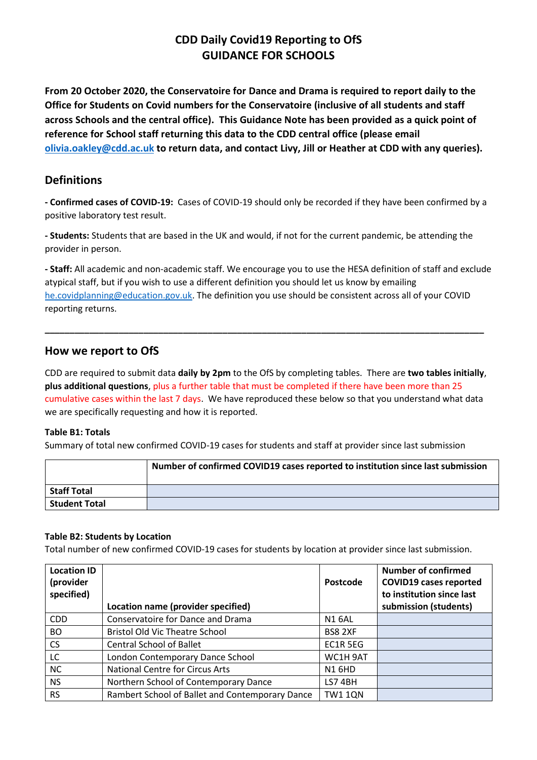# **CDD Daily Covid19 Reporting to OfS GUIDANCE FOR SCHOOLS**

**From 20 October 2020, the Conservatoire for Dance and Drama is required to report daily to the Office for Students on Covid numbers for the Conservatoire (inclusive of all students and staff across Schools and the central office). This Guidance Note has been provided as a quick point of reference for School staff returning this data to the CDD central office (please email [olivia.oakley@cdd.ac.uk](mailto:olivia.oakley@cdd.ac.uk) to return data, and contact Livy, Jill or Heather at CDD with any queries).**

## **Definitions**

**- Confirmed cases of COVID-19:** Cases of COVID-19 should only be recorded if they have been confirmed by a positive laboratory test result.

**- Students:** Students that are based in the UK and would, if not for the current pandemic, be attending the provider in person.

**- Staff:** All academic and non-academic staff. We encourage you to use the HESA definition of staff and exclude atypical staff, but if you wish to use a different definition you should let us know by emailing [he.covidplanning@education.gov.uk.](mailto:he.covidplanning@education.gov.uk) The definition you use should be consistent across all of your COVID reporting returns.

**\_\_\_\_\_\_\_\_\_\_\_\_\_\_\_\_\_\_\_\_\_\_\_\_\_\_\_\_\_\_\_\_\_\_\_\_\_\_\_\_\_\_\_\_\_\_\_\_\_\_\_\_\_\_\_\_\_\_\_\_\_\_\_\_\_\_\_\_\_\_\_\_\_\_\_\_\_\_\_\_\_\_\_\_\_\_\_\_\_**

### **How we report to OfS**

CDD are required to submit data **daily by 2pm** to the OfS by completing tables. There are **two tables initially**, **plus additional questions**, plus a further table that must be completed if there have been more than 25 cumulative cases within the last 7 days. We have reproduced these below so that you understand what data we are specifically requesting and how it is reported.

#### **Table B1: Totals**

Summary of total new confirmed COVID-19 cases for students and staff at provider since last submission

|                      | Number of confirmed COVID19 cases reported to institution since last submission |
|----------------------|---------------------------------------------------------------------------------|
| <b>Staff Total</b>   |                                                                                 |
| <b>Student Total</b> |                                                                                 |

#### **Table B2: Students by Location**

Total number of new confirmed COVID-19 cases for students by location at provider since last submission.

| <b>Location ID</b><br>(provider<br>specified) | Location name (provider specified)              | Postcode       | <b>Number of confirmed</b><br><b>COVID19 cases reported</b><br>to institution since last<br>submission (students) |
|-----------------------------------------------|-------------------------------------------------|----------------|-------------------------------------------------------------------------------------------------------------------|
| <b>CDD</b>                                    | Conservatoire for Dance and Drama               | <b>N1 6AL</b>  |                                                                                                                   |
| <b>BO</b>                                     | <b>Bristol Old Vic Theatre School</b>           | <b>BS8 2XF</b> |                                                                                                                   |
| <b>CS</b>                                     | <b>Central School of Ballet</b>                 | EC1R 5EG       |                                                                                                                   |
| LC                                            | London Contemporary Dance School                | WC1H 9AT       |                                                                                                                   |
| <b>NC</b>                                     | <b>National Centre for Circus Arts</b>          | <b>N1 6HD</b>  |                                                                                                                   |
| <b>NS</b>                                     | Northern School of Contemporary Dance           | LS74BH         |                                                                                                                   |
| <b>RS</b>                                     | Rambert School of Ballet and Contemporary Dance | <b>TW1 1QN</b> |                                                                                                                   |